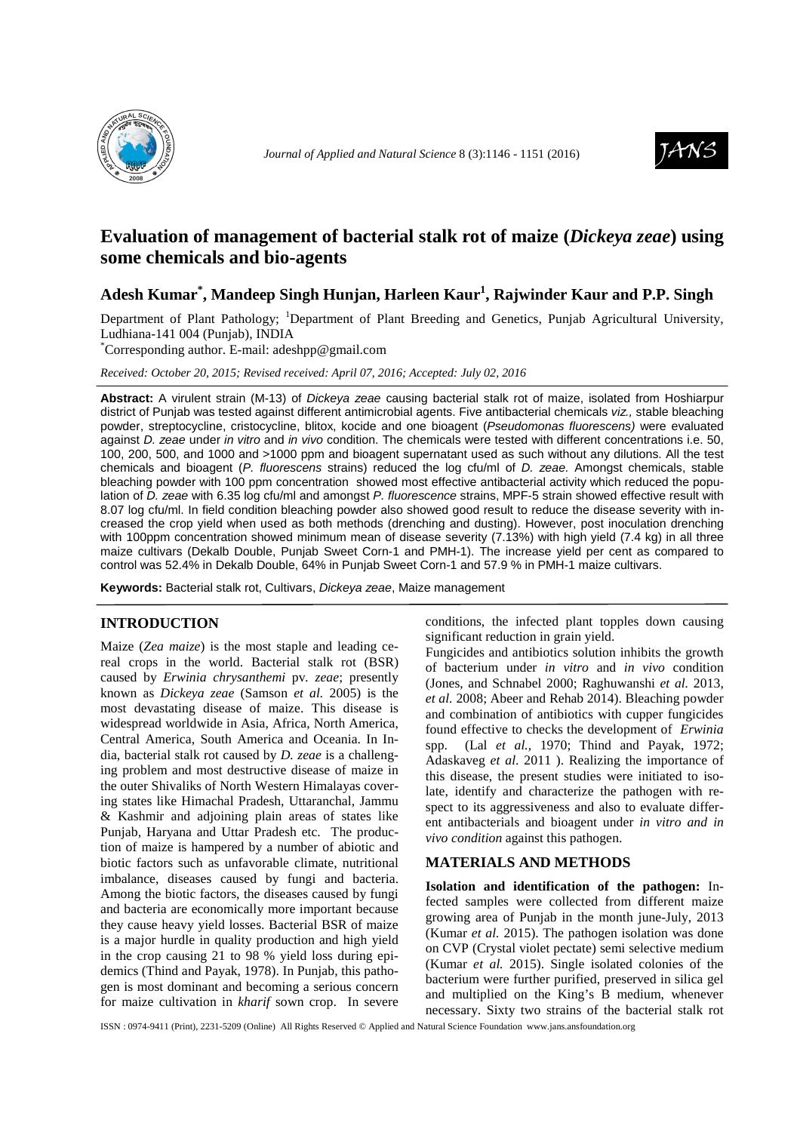



# **Evaluation of management of bacterial stalk rot of maize (***Dickeya zeae***) using some chemicals and bio-agents**

## **Adesh Kumar\* , Mandeep Singh Hunjan, Harleen Kaur<sup>1</sup> , Rajwinder Kaur and P.P. Singh**

Department of Plant Pathology; <sup>1</sup>Department of Plant Breeding and Genetics, Punjab Agricultural University, Ludhiana-141 004 (Punjab), INDIA

\*Corresponding author. E-mail: adeshpp@gmail.com

*Received: October 20, 2015; Revised received: April 07, 2016; Accepted: July 02, 2016*

**Abstract:** A virulent strain (M-13) of Dickeya zeae causing bacterial stalk rot of maize, isolated from Hoshiarpur district of Punjab was tested against different antimicrobial agents. Five antibacterial chemicals viz., stable bleaching powder, streptocycline, cristocycline, blitox, kocide and one bioagent (Pseudomonas fluorescens) were evaluated against D. zeae under in vitro and in vivo condition. The chemicals were tested with different concentrations i.e. 50, 100, 200, 500, and 1000 and >1000 ppm and bioagent supernatant used as such without any dilutions. All the test chemicals and bioagent (P. fluorescens strains) reduced the log cfu/ml of D. zeae. Amongst chemicals, stable bleaching powder with 100 ppm concentration showed most effective antibacterial activity which reduced the population of D. zeae with 6.35 log cfu/ml and amongst P. fluorescence strains, MPF-5 strain showed effective result with 8.07 log cfu/ml. In field condition bleaching powder also showed good result to reduce the disease severity with increased the crop yield when used as both methods (drenching and dusting). However, post inoculation drenching with 100ppm concentration showed minimum mean of disease severity (7.13%) with high yield (7.4 kg) in all three maize cultivars (Dekalb Double, Punjab Sweet Corn-1 and PMH-1). The increase yield per cent as compared to control was 52.4% in Dekalb Double, 64% in Punjab Sweet Corn-1 and 57.9 % in PMH-1 maize cultivars.

**Keywords:** Bacterial stalk rot, Cultivars, Dickeya zeae, Maize management

## **INTRODUCTION**

Maize (*Zea maize*) is the most staple and leading cereal crops in the world. Bacterial stalk rot (BSR) caused by *Erwinia chrysanthemi* pv*. zeae*; presently known as *Dickeya zeae* (Samson *et al.* 2005) is the most devastating disease of maize. This disease is widespread worldwide in Asia, Africa, North America, Central America, South America and Oceania. In India, bacterial stalk rot caused by *D. zeae* is a challenging problem and most destructive disease of maize in the outer Shivaliks of North Western Himalayas covering states like Himachal Pradesh, Uttaranchal, Jammu & Kashmir and adjoining plain areas of states like Punjab, Haryana and Uttar Pradesh etc. The production of maize is hampered by a number of abiotic and biotic factors such as unfavorable climate, nutritional imbalance, diseases caused by fungi and bacteria. Among the biotic factors, the diseases caused by fungi and bacteria are economically more important because they cause heavy yield losses. Bacterial BSR of maize is a major hurdle in quality production and high yield in the crop causing 21 to 98 % yield loss during epidemics (Thind and Payak, 1978). In Punjab, this pathogen is most dominant and becoming a serious concern for maize cultivation in *kharif* sown crop. In severe

conditions, the infected plant topples down causing significant reduction in grain yield.

Fungicides and antibiotics solution inhibits the growth of bacterium under *in vitro* and *in vivo* condition (Jones, and Schnabel 2000; Raghuwanshi *et al.* 2013, *et al.* 2008; Abeer and Rehab 2014). Bleaching powder and combination of antibiotics with cupper fungicides found effective to checks the development of *Erwinia* spp. (Lal *et al.,* 1970; Thind and Payak, 1972; Adaskaveg *et al*. 2011 ). Realizing the importance of this disease, the present studies were initiated to isolate, identify and characterize the pathogen with respect to its aggressiveness and also to evaluate different antibacterials and bioagent under *in vitro and in vivo condition* against this pathogen.

## **MATERIALS AND METHODS**

**Isolation and identification of the pathogen:** Infected samples were collected from different maize growing area of Punjab in the month june-July, 2013 (Kumar *et al.* 2015). The pathogen isolation was done on CVP (Crystal violet pectate) semi selective medium (Kumar *et al.* 2015). Single isolated colonies of the bacterium were further purified, preserved in silica gel and multiplied on the King's B medium, whenever necessary. Sixty two strains of the bacterial stalk rot

ISSN : 0974-9411 (Print), 2231-5209 (Online) All Rights Reserved © Applied and Natural Science Foundation www.jans.ansfoundation.org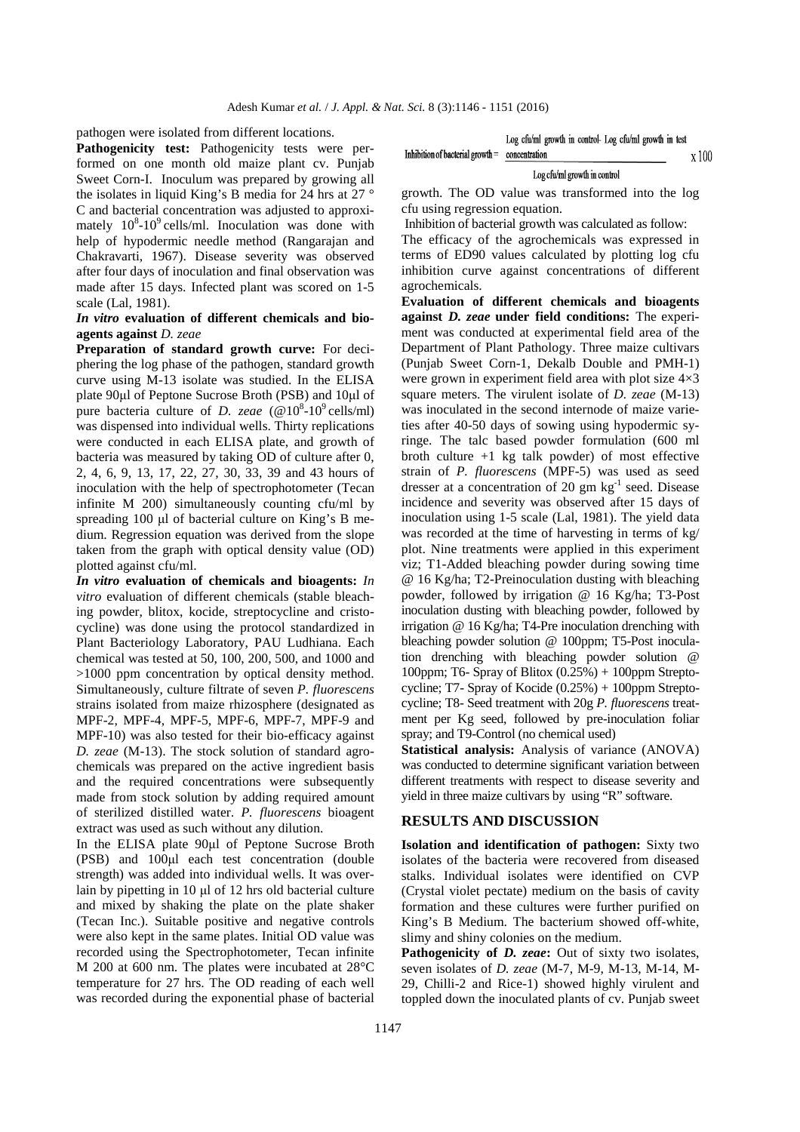pathogen were isolated from different locations.

Pathogenicity test: Pathogenicity tests were performed on one month old maize plant cv. Punjab Sweet Corn-I. Inoculum was prepared by growing all the isolates in liquid King's B media for 24 hrs at 27 ° C and bacterial concentration was adjusted to approximately  $10^8$ -10<sup>9</sup> cells/ml. Inoculation was done with help of hypodermic needle method (Rangarajan and Chakravarti, 1967). Disease severity was observed after four days of inoculation and final observation was made after 15 days. Infected plant was scored on 1-5 scale (Lal, 1981).

## *In vitro* **evaluation of different chemicals and bioagents against** *D. zeae*

Preparation of standard growth curve: For deciphering the log phase of the pathogen, standard growth curve using M-13 isolate was studied. In the ELISA plate 90µl of Peptone Sucrose Broth (PSB) and 10µl of pure bacteria culture of *D. zeae*  $(\mathcal{Q}10^8\t{-}10^9\textrm{ cells/ml})$ was dispensed into individual wells. Thirty replications were conducted in each ELISA plate, and growth of bacteria was measured by taking OD of culture after 0, 2, 4, 6, 9, 13, 17, 22, 27, 30, 33, 39 and 43 hours of inoculation with the help of spectrophotometer (Tecan infinite M 200) simultaneously counting cfu/ml by spreading 100 µl of bacterial culture on King's B medium. Regression equation was derived from the slope taken from the graph with optical density value (OD) plotted against cfu/ml.

*In vitro* **evaluation of chemicals and bioagents:** *In vitro* evaluation of different chemicals (stable bleaching powder, blitox, kocide, streptocycline and cristocycline) was done using the protocol standardized in Plant Bacteriology Laboratory, PAU Ludhiana. Each chemical was tested at 50, 100, 200, 500, and 1000 and >1000 ppm concentration by optical density method. Simultaneously, culture filtrate of seven *P. fluorescens*  strains isolated from maize rhizosphere (designated as MPF-2, MPF-4, MPF-5, MPF-6, MPF-7, MPF-9 and MPF-10) was also tested for their bio-efficacy against *D. zeae* (M-13). The stock solution of standard agrochemicals was prepared on the active ingredient basis and the required concentrations were subsequently made from stock solution by adding required amount of sterilized distilled water. *P. fluorescens* bioagent extract was used as such without any dilution.

In the ELISA plate 90µl of Peptone Sucrose Broth (PSB) and 100µl each test concentration (double strength) was added into individual wells. It was overlain by pipetting in 10 µl of 12 hrs old bacterial culture and mixed by shaking the plate on the plate shaker (Tecan Inc.). Suitable positive and negative controls were also kept in the same plates. Initial OD value was recorded using the Spectrophotometer, Tecan infinite M 200 at 600 nm. The plates were incubated at 28°C temperature for 27 hrs. The OD reading of each well was recorded during the exponential phase of bacterial Log cfu/ml growth in control- Log cfu/ml growth in test

x 100

Inhibition of bacterial growth = concentration

#### Log cfu/ml growth in control

growth. The OD value was transformed into the log cfu using regression equation.

 Inhibition of bacterial growth was calculated as follow: The efficacy of the agrochemicals was expressed in terms of ED90 values calculated by plotting log cfu inhibition curve against concentrations of different agrochemicals.

**Evaluation of different chemicals and bioagents against** *D. zeae* **under field conditions:** The experiment was conducted at experimental field area of the Department of Plant Pathology. Three maize cultivars (Punjab Sweet Corn-1, Dekalb Double and PMH-1) were grown in experiment field area with plot size 4×3 square meters. The virulent isolate of *D. zeae* (M-13) was inoculated in the second internode of maize varieties after 40-50 days of sowing using hypodermic syringe. The talc based powder formulation (600 ml broth culture  $+1$  kg talk powder) of most effective strain of *P. fluorescens* (MPF-5) was used as seed dresser at a concentration of 20  $gm\ kg^{-1}$  seed. Disease incidence and severity was observed after 15 days of inoculation using 1-5 scale (Lal, 1981). The yield data was recorded at the time of harvesting in terms of kg/ plot. Nine treatments were applied in this experiment viz; T1-Added bleaching powder during sowing time @ 16 Kg/ha; T2-Preinoculation dusting with bleaching powder, followed by irrigation @ 16 Kg/ha; T3-Post inoculation dusting with bleaching powder, followed by irrigation @ 16 Kg/ha; T4-Pre inoculation drenching with bleaching powder solution @ 100ppm; T5-Post inoculation drenching with bleaching powder solution @ 100ppm; T6- Spray of Blitox  $(0.25%) + 100$ ppm Streptocycline; T7- Spray of Kocide (0.25%) + 100ppm Streptocycline; T8- Seed treatment with 20g *P. fluorescens* treatment per Kg seed, followed by pre-inoculation foliar spray; and T9-Control (no chemical used)

**Statistical analysis:** Analysis of variance (ANOVA) was conducted to determine significant variation between different treatments with respect to disease severity and yield in three maize cultivars by using "R" software.

#### **RESULTS AND DISCUSSION**

**Isolation and identification of pathogen:** Sixty two isolates of the bacteria were recovered from diseased stalks. Individual isolates were identified on CVP (Crystal violet pectate) medium on the basis of cavity formation and these cultures were further purified on King's B Medium. The bacterium showed off-white, slimy and shiny colonies on the medium.

**Pathogenicity of** *D. zeae*: Out of sixty two isolates, seven isolates of *D. zeae* (M-7, M-9, M-13, M-14, M-29, Chilli-2 and Rice-1) showed highly virulent and toppled down the inoculated plants of cv. Punjab sweet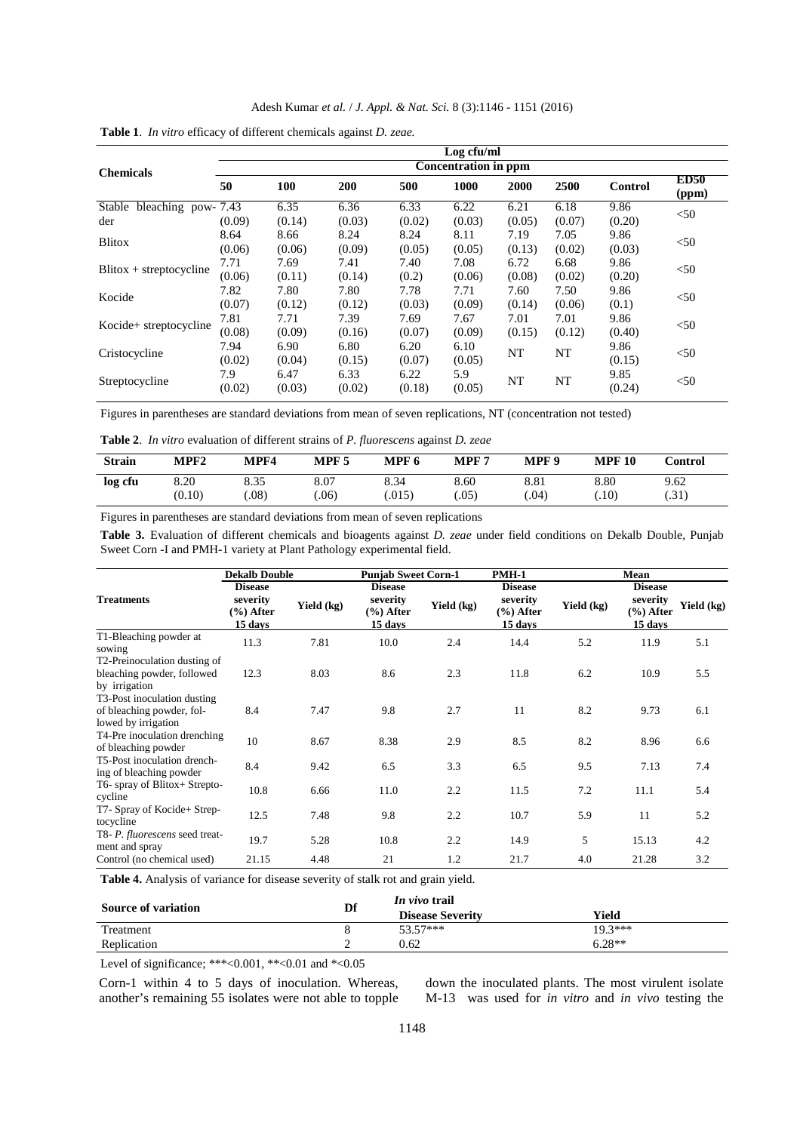| Adesh Kumar <i>et al. / J. Appl. &amp; Nat. Sci.</i> 8 (3):1146 - 1151 (2016) |  |  |  |  |  |
|-------------------------------------------------------------------------------|--|--|--|--|--|
|-------------------------------------------------------------------------------|--|--|--|--|--|

|                               |                             |        |        |        | Log cfu/ml |        |        |                |                      |  |
|-------------------------------|-----------------------------|--------|--------|--------|------------|--------|--------|----------------|----------------------|--|
| <b>Chemicals</b>              | <b>Concentration in ppm</b> |        |        |        |            |        |        |                |                      |  |
|                               | 50                          | 100    | 200    | 500    | 1000       | 2000   | 2500   | <b>Control</b> | <b>ED50</b><br>(ppm) |  |
| Stable<br>bleaching pow- 7.43 |                             | 6.35   | 6.36   | 6.33   | 6.22       | 6.21   | 6.18   | 9.86           | $<$ 50               |  |
| der                           | (0.09)                      | (0.14) | (0.03) | (0.02) | (0.03)     | (0.05) | (0.07) | (0.20)         |                      |  |
| <b>Blitox</b>                 | 8.64                        | 8.66   | 8.24   | 8.24   | 8.11       | 7.19   | 7.05   | 9.86           | < 50                 |  |
|                               | (0.06)                      | (0.06) | (0.09) | (0.05) | (0.05)     | (0.13) | (0.02) | (0.03)         |                      |  |
|                               | 7.71                        | 7.69   | 7.41   | 7.40   | 7.08       | 6.72   | 6.68   | 9.86           | $<$ 50               |  |
| $B$ litox + streptocycline    | (0.06)                      | (0.11) | (0.14) | (0.2)  | (0.06)     | (0.08) | (0.02) | (0.20)         |                      |  |
|                               | 7.82                        | 7.80   | 7.80   | 7.78   | 7.71       | 7.60   | 7.50   | 9.86           |                      |  |
| Kocide                        | (0.07)                      | (0.12) | (0.12) | (0.03) | (0.09)     | (0.14) | (0.06) | (0.1)          | $<$ 50               |  |
|                               | 7.81                        | 7.71   | 7.39   | 7.69   | 7.67       | 7.01   | 7.01   | 9.86           |                      |  |
| Kocide+ streptocycline        | (0.08)                      | (0.09) | (0.16) | (0.07) | (0.09)     | (0.15) | (0.12) | (0.40)         | $<$ 50               |  |
| Cristocycline                 | 7.94                        | 6.90   | 6.80   | 6.20   | 6.10       |        |        | 9.86           | $<$ 50               |  |
|                               | (0.02)                      | (0.04) | (0.15) | (0.07) | (0.05)     | NT     | NT     | (0.15)         |                      |  |
| Streptocycline                | 7.9                         | 6.47   | 6.33   | 6.22   | 5.9        |        |        | 9.85           | $50$                 |  |
|                               | (0.02)                      | (0.03) | (0.02) | (0.18) | (0.05)     | NT     | NT     | (0.24)         |                      |  |

| Table 1. In vitro efficacy of different chemicals against D. zeae. |  |
|--------------------------------------------------------------------|--|
|--------------------------------------------------------------------|--|

Figures in parentheses are standard deviations from mean of seven replications, NT (concentration not tested)

**Table 2**. *In vitro* evaluation of different strains of *P. fluorescens* against *D. zeae*

| <b>Strain</b> | MPF <sub>2</sub> | MPF4 | MPF 5 | MPF 6 | MPF 7 | MPF <sub>9</sub> | <b>MPF</b><br>10 | Control |
|---------------|------------------|------|-------|-------|-------|------------------|------------------|---------|
| log cfu       | 8.20             | 8.35 | 8.07  | 8.34  | 8.60  | 8.81             | 8.80             | 9.62    |
|               | (0.10)           | .08) | .06)  | .015) | .05)  | $.04^{\circ}$    | .10)             | (.31)   |

Figures in parentheses are standard deviations from mean of seven replications

**Table 3.** Evaluation of different chemicals and bioagents against *D. zeae* under field conditions on Dekalb Double, Punjab Sweet Corn -I and PMH-1 variety at Plant Pathology experimental field.

|                                                                                 | <b>Dekalb Double</b>                                   |            | <b>Punjab Sweet Corn-1</b>                             |            | <b>PMH-1</b>                                          |            | Mean                                                  |            |  |
|---------------------------------------------------------------------------------|--------------------------------------------------------|------------|--------------------------------------------------------|------------|-------------------------------------------------------|------------|-------------------------------------------------------|------------|--|
| <b>Treatments</b>                                                               | <b>Disease</b><br>severity<br>$(\% )$ After<br>15 days | Yield (kg) | <b>Disease</b><br>severity<br>$(\% )$ After<br>15 days | Yield (kg) | <b>Disease</b><br>severity<br>$(\%)$ After<br>15 days | Yield (kg) | <b>Disease</b><br>severity<br>$(\%)$ After<br>15 days | Yield (kg) |  |
| T1-Bleaching powder at<br>sowing                                                | 11.3                                                   | 7.81       | 10.0                                                   | 2.4        | 14.4                                                  | 5.2        | 11.9                                                  | 5.1        |  |
| T2-Preinoculation dusting of<br>bleaching powder, followed<br>by irrigation     | 12.3                                                   | 8.03       | 8.6                                                    | 2.3        | 11.8                                                  | 6.2        | 10.9                                                  | 5.5        |  |
| T3-Post inoculation dusting<br>of bleaching powder, fol-<br>lowed by irrigation | 8.4                                                    | 7.47       | 9.8                                                    | 2.7        | 11                                                    | 8.2        | 9.73                                                  | 6.1        |  |
| T4-Pre inoculation drenching<br>of bleaching powder                             | 10                                                     | 8.67       | 8.38                                                   | 2.9        | 8.5                                                   | 8.2        | 8.96                                                  | 6.6        |  |
| T5-Post inoculation drench-<br>ing of bleaching powder                          | 8.4                                                    | 9.42       | 6.5                                                    | 3.3        | 6.5                                                   | 9.5        | 7.13                                                  | 7.4        |  |
| T6- spray of Blitox+ Strepto-<br>cycline                                        | 10.8                                                   | 6.66       | 11.0                                                   | 2.2        | 11.5                                                  | 7.2        | 11.1                                                  | 5.4        |  |
| T7- Spray of Kocide+ Strep-<br>tocycline                                        | 12.5                                                   | 7.48       | 9.8                                                    | 2.2        | 10.7                                                  | 5.9        | 11                                                    | 5.2        |  |
| T8- P. fluorescens seed treat-<br>ment and spray                                | 19.7                                                   | 5.28       | 10.8                                                   | 2.2        | 14.9                                                  | 5          | 15.13                                                 | 4.2        |  |
| Control (no chemical used)                                                      | 21.15                                                  | 4.48       | 21                                                     | 1.2        | 21.7                                                  | 4.0        | 21.28                                                 | 3.2        |  |

**Table 4.** Analysis of variance for disease severity of stalk rot and grain yield.

| <b>Source of variation</b> | Df | <i>In vivo</i> trail    |           |  |  |  |
|----------------------------|----|-------------------------|-----------|--|--|--|
|                            |    | <b>Disease Severity</b> | Yield     |  |  |  |
| Treatment                  |    | $53.57***$              | $19.3***$ |  |  |  |
| Replication                |    | 0.62                    | $6.28**$  |  |  |  |
|                            |    |                         |           |  |  |  |

Level of significance; \*\*\*<0.001, \*\*<0.01 and \*<0.05

Corn-1 within 4 to 5 days of inoculation. Whereas, another's remaining 55 isolates were not able to topple down the inoculated plants. The most virulent isolate M-13 was used for *in vitro* and *in vivo* testing the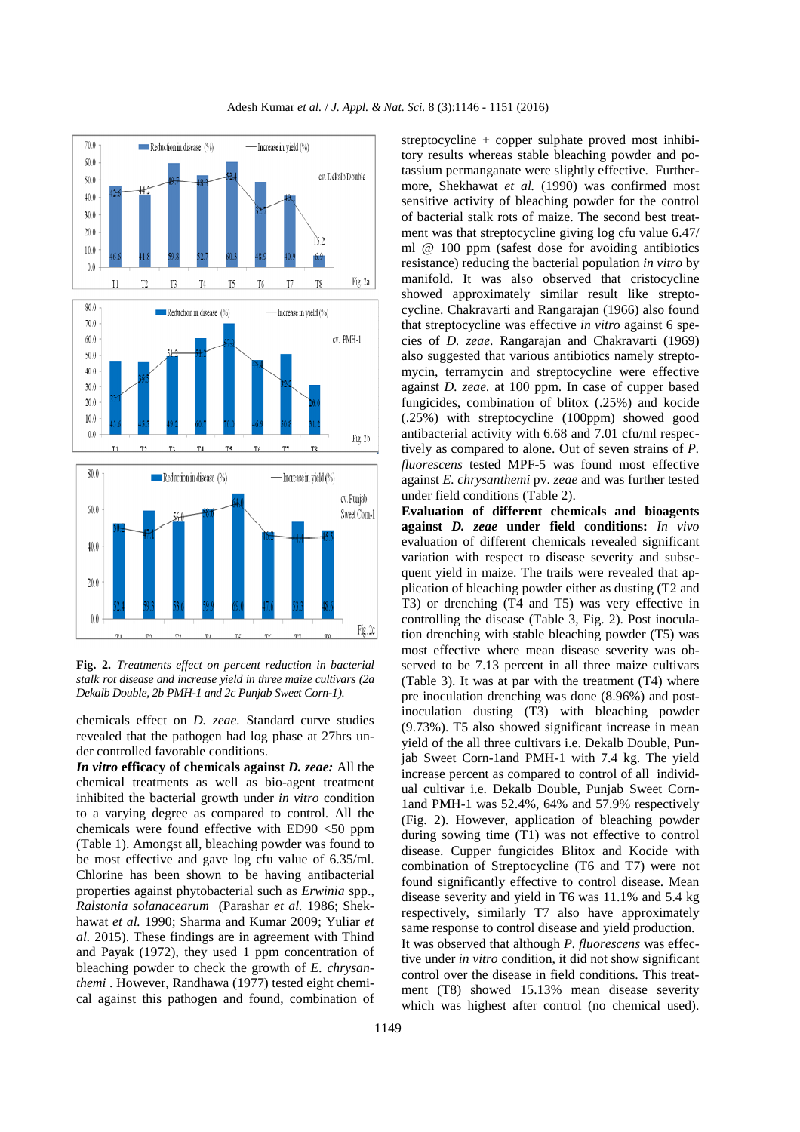

**Fig. 2.** *Treatments effect on percent reduction in bacterial stalk rot disease and increase yield in three maize cultivars (2a Dekalb Double, 2b PMH-1 and 2c Punjab Sweet Corn-1).*

chemicals effect on *D. zeae.* Standard curve studies revealed that the pathogen had log phase at 27hrs under controlled favorable conditions.

*In vitro* **efficacy of chemicals against** *D. zeae:* All the chemical treatments as well as bio-agent treatment inhibited the bacterial growth under *in vitro* condition to a varying degree as compared to control. All the chemicals were found effective with ED90 <50 ppm (Table 1). Amongst all, bleaching powder was found to be most effective and gave log cfu value of 6.35/ml. Chlorine has been shown to be having antibacterial properties against phytobacterial such as *Erwinia* spp., *Ralstonia solanacearum* (Parashar *et al.* 1986; Shekhawat *et al.* 1990; Sharma and Kumar 2009; Yuliar *et al.* 2015). These findings are in agreement with Thind and Payak (1972), they used 1 ppm concentration of bleaching powder to check the growth of *E. chrysanthemi* . However, Randhawa (1977) tested eight chemical against this pathogen and found, combination of

streptocycline + copper sulphate proved most inhibitory results whereas stable bleaching powder and potassium permanganate were slightly effective. Furthermore, Shekhawat *et al.* (1990) was confirmed most sensitive activity of bleaching powder for the control of bacterial stalk rots of maize. The second best treatment was that streptocycline giving log cfu value 6.47/ ml @ 100 ppm (safest dose for avoiding antibiotics resistance) reducing the bacterial population *in vitro* by manifold. It was also observed that cristocycline showed approximately similar result like streptocycline. Chakravarti and Rangarajan (1966) also found that streptocycline was effective *in vitro* against 6 species of *D. zeae*. Rangarajan and Chakravarti (1969) also suggested that various antibiotics namely streptomycin, terramycin and streptocycline were effective against *D. zeae.* at 100 ppm. In case of cupper based fungicides, combination of blitox (.25%) and kocide (.25%) with streptocycline (100ppm) showed good antibacterial activity with 6.68 and 7.01 cfu/ml respectively as compared to alone. Out of seven strains of *P. fluorescens* tested MPF-5 was found most effective against *E. chrysanthemi* pv. *zeae* and was further tested under field conditions (Table 2).

**Evaluation of different chemicals and bioagents against** *D. zeae* **under field conditions:** *In vivo* evaluation of different chemicals revealed significant variation with respect to disease severity and subsequent yield in maize. The trails were revealed that application of bleaching powder either as dusting (T2 and T3) or drenching (T4 and T5) was very effective in controlling the disease (Table 3, Fig. 2). Post inoculation drenching with stable bleaching powder (T5) was most effective where mean disease severity was observed to be 7.13 percent in all three maize cultivars (Table 3). It was at par with the treatment (T4) where pre inoculation drenching was done (8.96%) and postinoculation dusting (T3) with bleaching powder (9.73%). T5 also showed significant increase in mean yield of the all three cultivars i.e. Dekalb Double, Punjab Sweet Corn-1and PMH-1 with 7.4 kg. The yield increase percent as compared to control of all individual cultivar i.e. Dekalb Double, Punjab Sweet Corn-1and PMH-1 was 52.4%, 64% and 57.9% respectively (Fig. 2). However, application of bleaching powder during sowing time (T1) was not effective to control disease. Cupper fungicides Blitox and Kocide with combination of Streptocycline (T6 and T7) were not found significantly effective to control disease. Mean disease severity and yield in T6 was 11.1% and 5.4 kg respectively, similarly T7 also have approximately same response to control disease and yield production. It was observed that although *P. fluorescens* was effective under *in vitro* condition, it did not show significant control over the disease in field conditions. This treatment (T8) showed 15.13% mean disease severity which was highest after control (no chemical used).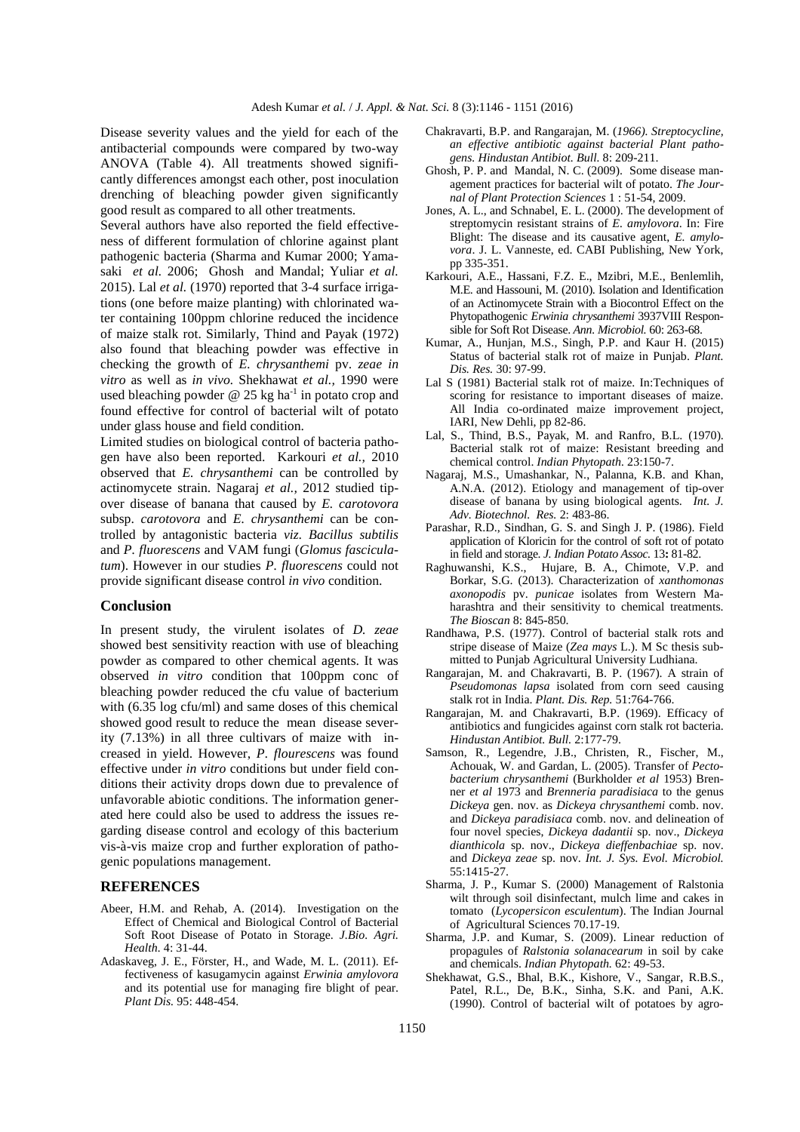Disease severity values and the yield for each of the antibacterial compounds were compared by two-way ANOVA (Table 4). All treatments showed significantly differences amongst each other, post inoculation drenching of bleaching powder given significantly good result as compared to all other treatments.

Several authors have also reported the field effectiveness of different formulation of chlorine against plant pathogenic bacteria (Sharma and Kumar 2000; Yamasaki *et al.* 2006; Ghosh and Mandal; Yuliar *et al.* 2015). Lal *et al.* (1970) reported that 3-4 surface irrigations (one before maize planting) with chlorinated water containing 100ppm chlorine reduced the incidence of maize stalk rot. Similarly, Thind and Payak (1972) also found that bleaching powder was effective in checking the growth of *E. chrysanthemi* pv. *zeae in vitro* as well as *in vivo.* Shekhawat *et al.,* 1990 were used bleaching powder  $@$  25 kg ha<sup>-1</sup> in potato crop and found effective for control of bacterial wilt of potato under glass house and field condition.

Limited studies on biological control of bacteria pathogen have also been reported. Karkouri *et al.,* 2010 observed that *E. chrysanthemi* can be controlled by actinomycete strain. Nagaraj *et al.,* 2012 studied tipover disease of banana that caused by *E. carotovora*  subsp. *carotovora* and *E. chrysanthemi* can be controlled by antagonistic bacteria *viz*. *Bacillus subtilis*  and *P. fluorescens* and VAM fungi (*Glomus fasciculatum*). However in our studies *P. fluorescens* could not provide significant disease control *in vivo* condition.

#### **Conclusion**

In present study, the virulent isolates of *D. zeae*  showed best sensitivity reaction with use of bleaching powder as compared to other chemical agents. It was observed *in vitro* condition that 100ppm conc of bleaching powder reduced the cfu value of bacterium with (6.35 log cfu/ml) and same doses of this chemical showed good result to reduce the mean disease severity (7.13%) in all three cultivars of maize with increased in yield. However, *P. flourescens* was found effective under *in vitro* conditions but under field conditions their activity drops down due to prevalence of unfavorable abiotic conditions. The information generated here could also be used to address the issues regarding disease control and ecology of this bacterium vis-à-vis maize crop and further exploration of pathogenic populations management.

### **REFERENCES**

- Abeer, H.M. and Rehab, A. (2014). Investigation on the Effect of Chemical and Biological Control of Bacterial Soft Root Disease of Potato in Storage. *J.Bio. Agri. Health.* 4: 31-44.
- Adaskaveg, J. E., Förster, H., and Wade, M. L. (2011). Effectiveness of kasugamycin against *Erwinia amylovora*  and its potential use for managing fire blight of pear. *Plant Dis.* 95: 448-454.
- Chakravarti, B.P. and Rangarajan, M. (*1966). Streptocycline, an effective antibiotic against bacterial Plant pathogens. Hindustan Antibiot. Bull.* 8: 209-211.
- Ghosh, P. P. and Mandal, N. C. (2009).Some disease management practices for bacterial wilt of potato. *The Journal of Plant Protection Sciences* 1 : 51-54, 2009.
- Jones, A. L., and Schnabel, E. L. (2000). The development of streptomycin resistant strains of *E. amylovora*. In: Fire Blight: The disease and its causative agent, *E. amylovora*. J. L. Vanneste, ed. CABI Publishing, New York, pp 335-351.
- Karkouri, A.E., Hassani, F.Z. E., Mzibri, M.E., Benlemlih, M.E. and Hassouni, M. (2010). Isolation and Identification of an Actinomycete Strain with a Biocontrol Effect on the Phytopathogenic *Erwinia chrysanthemi* 3937VIII Responsible for Soft Rot Disease. *Ann. Microbiol.* 60: 263-68.
- Kumar, A., Hunjan, M.S., Singh, P.P. and Kaur H. (2015) Status of bacterial stalk rot of maize in Punjab. *Plant. Dis. Res.* 30: 97-99.
- Lal S (1981) Bacterial stalk rot of maize. In:Techniques of scoring for resistance to important diseases of maize. All India co-ordinated maize improvement project, IARI, New Dehli, pp 82-86.
- Lal, S., Thind, B.S., Payak, M. and Ranfro, B.L. (1970). Bacterial stalk rot of maize: Resistant breeding and chemical control. *Indian Phytopath.* 23:150-7.
- Nagaraj, M.S., Umashankar, N., Palanna, K.B. and Khan, A.N.A. (2012). Etiology and management of tip-over disease of banana by using biological agents. *Int. J. Adv. Biotechnol. Res.* 2: 483-86.
- Parashar, R.D., Sindhan, G. S. and Singh J. P. (1986). Field application of Kloricin for the control of soft rot of potato in field and storage. *J. Indian Potato Assoc.* 13**:** 81-82.
- Raghuwanshi, K.S., Hujare, B. A., Chimote, V.P. and Borkar, S.G. (2013). Characterization of *xanthomonas axonopodis* pv. *punicae* isolates from Western Maharashtra and their sensitivity to chemical treatments. *The Bioscan* 8: 845-850.
- Randhawa, P.S. (1977). Control of bacterial stalk rots and stripe disease of Maize (*Zea mays* L.). M Sc thesis submitted to Punjab Agricultural University Ludhiana.
- Rangarajan, M. and Chakravarti, B. P. (1967). A strain of *Pseudomonas lapsa* isolated from corn seed causing stalk rot in India. *Plant. Dis. Rep.* 51:764-766.
- Rangarajan, M. and Chakravarti, B.P. (1969). Efficacy of antibiotics and fungicides against corn stalk rot bacteria. *Hindustan Antibiot. Bull.* 2:177-79.
- Samson, R., Legendre, J.B., Christen, R., Fischer, M., Achouak, W. and Gardan, L. (2005). Transfer of *Pectobacterium chrysanthemi* (Burkholder *et al* 1953) Brenner *et al* 1973 and *Brenneria paradisiaca* to the genus *Dickeya* gen. nov. as *Dickeya chrysanthemi* comb. nov. and *Dickeya paradisiaca* comb. nov. and delineation of four novel species, *Dickeya dadantii* sp. nov., *Dickeya dianthicola* sp. nov., *Dickeya dieffenbachiae* sp. nov. and *Dickeya zeae* sp. nov. *Int. J. Sys. Evol. Microbiol.*  55:1415-27.
- Sharma, J. P., Kumar S. (2000) Management of Ralstonia wilt through soil disinfectant, mulch lime and cakes in tomato (*Lycopersicon esculentum*). The Indian Journal of Agricultural Sciences 70.17-19.
- Sharma, J.P. and Kumar, S. (2009). Linear reduction of propagules of *Ralstonia solanacearum* in soil by cake and chemicals. *Indian Phytopath.* 62: 49-53.
- Shekhawat, G.S., Bhal, B.K., Kishore, V., Sangar, R.B.S., Patel, R.L., De, B.K., Sinha, S.K. and Pani, A.K. (1990). Control of bacterial wilt of potatoes by agro-